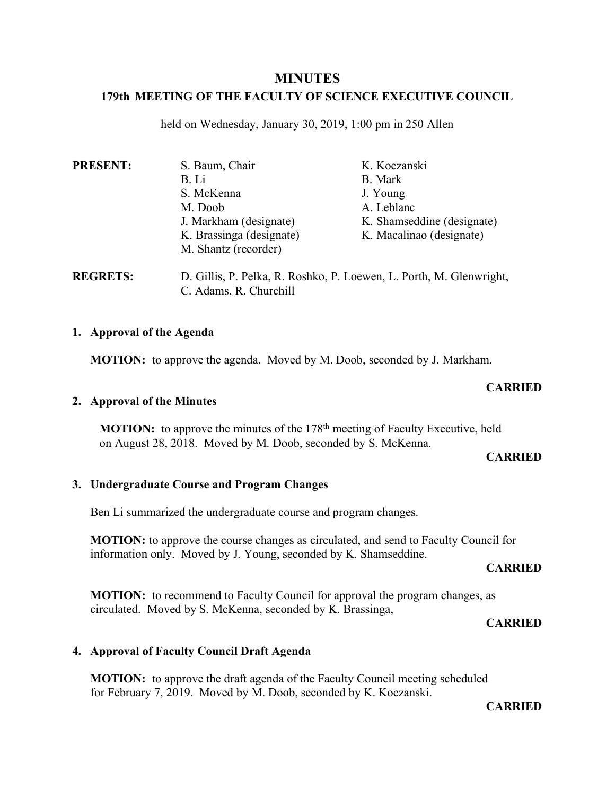## **MINUTES**

# **179th MEETING OF THE FACULTY OF SCIENCE EXECUTIVE COUNCIL**

held on Wednesday, January 30, 2019, 1:00 pm in 250 Allen

| <b>PRESENT:</b> | S. Baum, Chair           | K. Koczanski               |
|-----------------|--------------------------|----------------------------|
|                 | B. Li                    | B. Mark                    |
|                 | S. McKenna               | J. Young                   |
|                 | M. Doob                  | A. Leblanc                 |
|                 | J. Markham (designate)   | K. Shamseddine (designate) |
|                 | K. Brassinga (designate) | K. Macalinao (designate)   |
|                 | M. Shantz (recorder)     |                            |
| <b>DRADER</b>   | דת 11 ממידה מידה מ       | $T \times 1 \times 1$      |

**REGRETS:** D. Gillis, P. Pelka, R. Roshko, P. Loewen, L. Porth, M. Glenwright, C. Adams, R. Churchill

### **1. Approval of the Agenda**

**MOTION:** to approve the agenda. Moved by M. Doob, seconded by J. Markham.

### **CARRIED**

### **2. Approval of the Minutes**

**MOTION:** to approve the minutes of the 178<sup>th</sup> meeting of Faculty Executive, held on August 28, 2018. Moved by M. Doob, seconded by S. McKenna.

#### **CARRIED**

### **3. Undergraduate Course and Program Changes**

Ben Li summarized the undergraduate course and program changes.

**MOTION:** to approve the course changes as circulated, and send to Faculty Council for information only. Moved by J. Young, seconded by K. Shamseddine.

#### **CARRIED**

**MOTION:** to recommend to Faculty Council for approval the program changes, as circulated. Moved by S. McKenna, seconded by K. Brassinga,

#### **CARRIED**

## **4. Approval of Faculty Council Draft Agenda**

**MOTION:** to approve the draft agenda of the Faculty Council meeting scheduled for February 7, 2019. Moved by M. Doob, seconded by K. Koczanski.

**CARRIED**